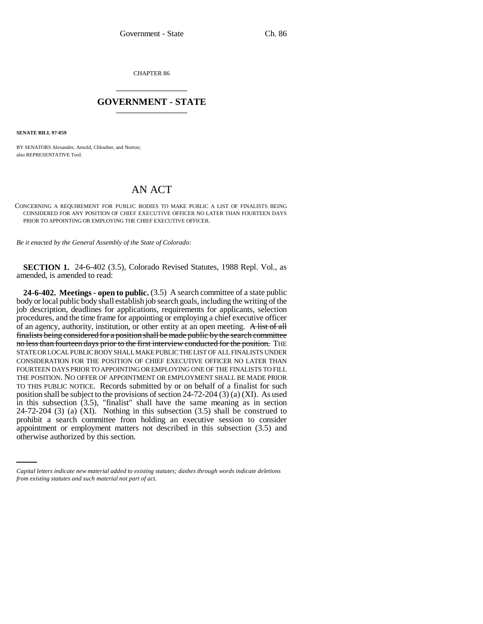CHAPTER 86 \_\_\_\_\_\_\_\_\_\_\_\_\_\_\_

## **GOVERNMENT - STATE** \_\_\_\_\_\_\_\_\_\_\_\_\_\_\_

**SENATE BILL 97-059**

BY SENATORS Alexander, Arnold, Chlouber, and Norton; also REPRESENTATIVE Tool.

## AN ACT

## CONCERNING A REQUIREMENT FOR PUBLIC BODIES TO MAKE PUBLIC A LIST OF FINALISTS BEING CONSIDERED FOR ANY POSITION OF CHIEF EXECUTIVE OFFICER NO LATER THAN FOURTEEN DAYS PRIOR TO APPOINTING OR EMPLOYING THE CHIEF EXECUTIVE OFFICER.

*Be it enacted by the General Assembly of the State of Colorado:*

**SECTION 1.** 24-6-402 (3.5), Colorado Revised Statutes, 1988 Repl. Vol., as amended, is amended to read:

prohibit a search committee from holding an executive session to consider **24-6-402. Meetings - open to public.** (3.5) A search committee of a state public body or local public body shall establish job search goals, including the writing of the job description, deadlines for applications, requirements for applicants, selection procedures, and the time frame for appointing or employing a chief executive officer of an agency, authority, institution, or other entity at an open meeting. A list of all finalists being considered for a position shall be made public by the search committee no less than fourteen days prior to the first interview conducted for the position. THE STATE OR LOCAL PUBLIC BODY SHALL MAKE PUBLIC THE LIST OF ALL FINALISTS UNDER CONSIDERATION FOR THE POSITION OF CHIEF EXECUTIVE OFFICER NO LATER THAN FOURTEEN DAYS PRIOR TO APPOINTING OR EMPLOYING ONE OF THE FINALISTS TO FILL THE POSITION. NO OFFER OF APPOINTMENT OR EMPLOYMENT SHALL BE MADE PRIOR TO THIS PUBLIC NOTICE. Records submitted by or on behalf of a finalist for such position shall be subject to the provisions of section 24-72-204 (3) (a) (XI). As used in this subsection (3.5), "finalist" shall have the same meaning as in section 24-72-204 (3) (a) (XI). Nothing in this subsection (3.5) shall be construed to appointment or employment matters not described in this subsection (3.5) and otherwise authorized by this section.

*Capital letters indicate new material added to existing statutes; dashes through words indicate deletions from existing statutes and such material not part of act.*